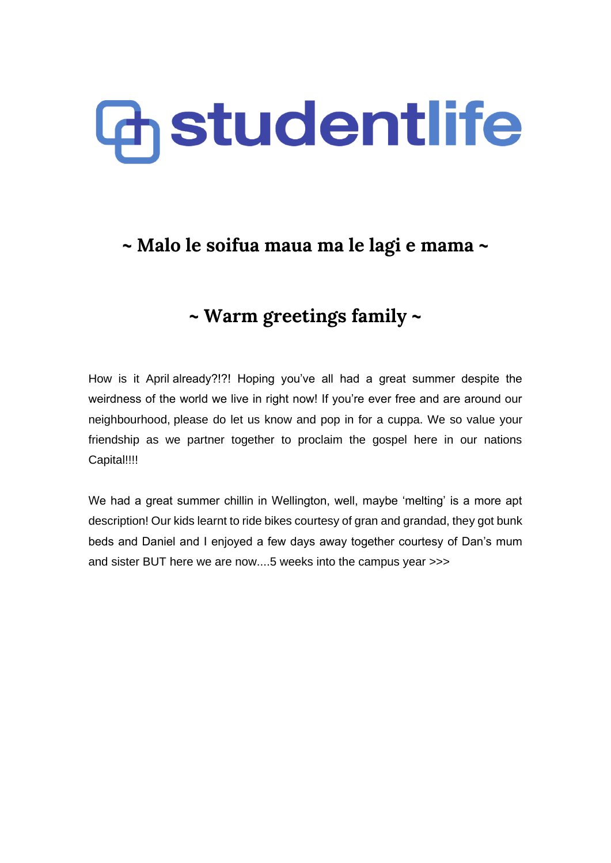# **Chiatudentlife**

## **~ Malo le soifua maua ma le lagi e mama ~**

## **~ Warm greetings family ~**

How is it April already?!?! Hoping you've all had a great summer despite the weirdness of the world we live in right now! If you're ever free and are around our neighbourhood, please do let us know and pop in for a cuppa. We so value your friendship as we partner together to proclaim the gospel here in our nations Capital!!!!

We had a great summer chillin in Wellington, well, maybe 'melting' is a more apt description! Our kids learnt to ride bikes courtesy of gran and grandad, they got bunk beds and Daniel and I enjoyed a few days away together courtesy of Dan's mum and sister BUT here we are now....5 weeks into the campus year >>>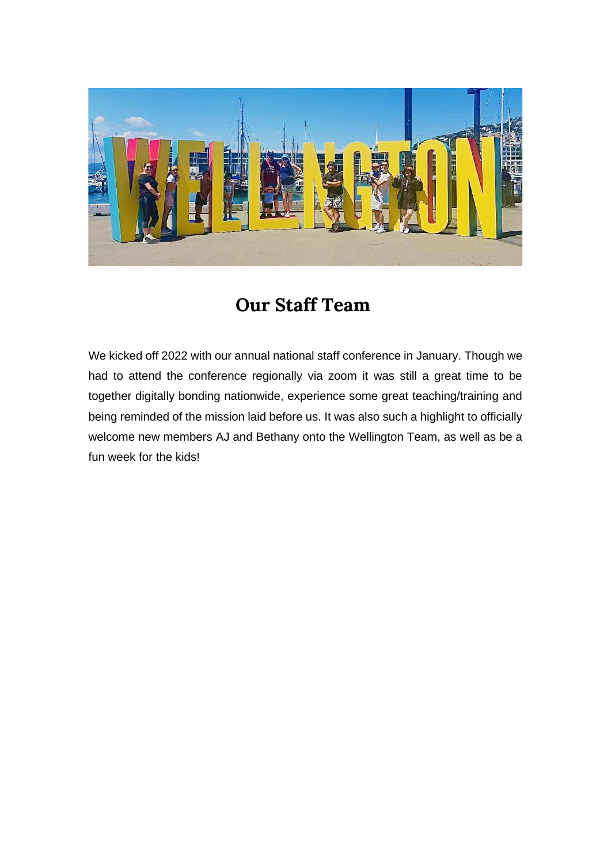

# **Our Staff Team**

We kicked off 2022 with our annual national staff conference in January. Though we had to attend the conference regionally via zoom it was still a great time to be together digitally bonding nationwide, experience some great teaching/training and being reminded of the mission laid before us. It was also such a highlight to officially welcome new members AJ and Bethany onto the Wellington Team, as well as be a fun week for the kids!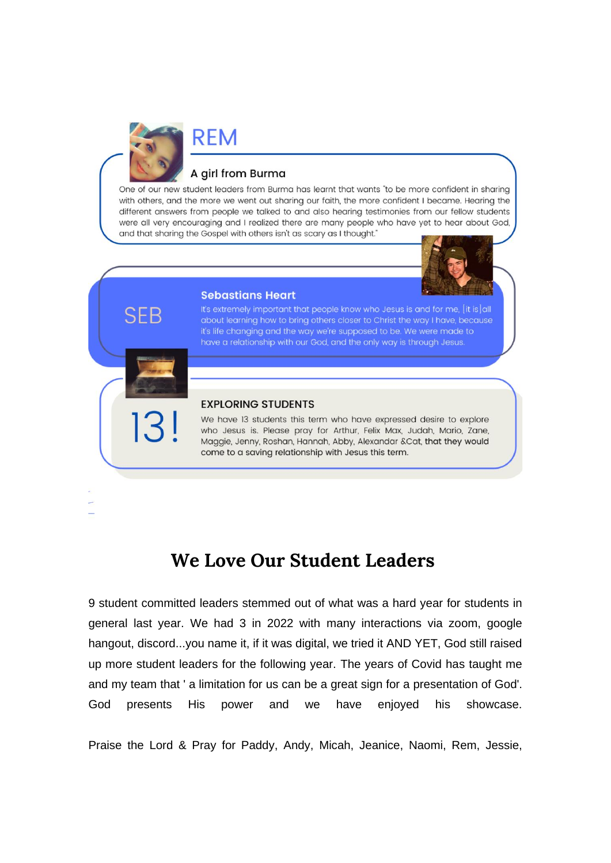

#### A girl from Burma

One of our new student leaders from Burma has learnt that wants "to be more confident in sharing with others, and the more we went out sharing our faith, the more confident I became. Hearing the different answers from people we talked to and also hearing testimonies from our fellow students were all very encouraging and I realized there are many people who have yet to hear about God, and that sharing the Gospel with others isn't as scary as I thought."



#### **Sebastians Heart**

It's extremely important that people know who Jesus is and for me, [it is] all about learning how to bring others closer to Christ the way I have, because it's life changing and the way we're supposed to be. We were made to have a relationship with our God, and the only way is through Jesus.

#### **EXPLORING STUDENTS**

We have 13 students this term who have expressed desire to explore who Jesus is. Please pray for Arthur, Felix Max, Judah, Mario, Zane, Maggie, Jenny, Roshan, Hannah, Abby, Alexandar &Cat, that they would come to a saving relationship with Jesus this term.

### **We Love Our Student Leaders**

9 student committed leaders stemmed out of what was a hard year for students in general last year. We had 3 in 2022 with many interactions via zoom, google hangout, discord...you name it, if it was digital, we tried it AND YET, God still raised up more student leaders for the following year. The years of Covid has taught me and my team that ' a limitation for us can be a great sign for a presentation of God'. God presents His power and we have enjoyed his showcase.

Praise the Lord & Pray for Paddy, Andy, Micah, Jeanice, Naomi, Rem, Jessie,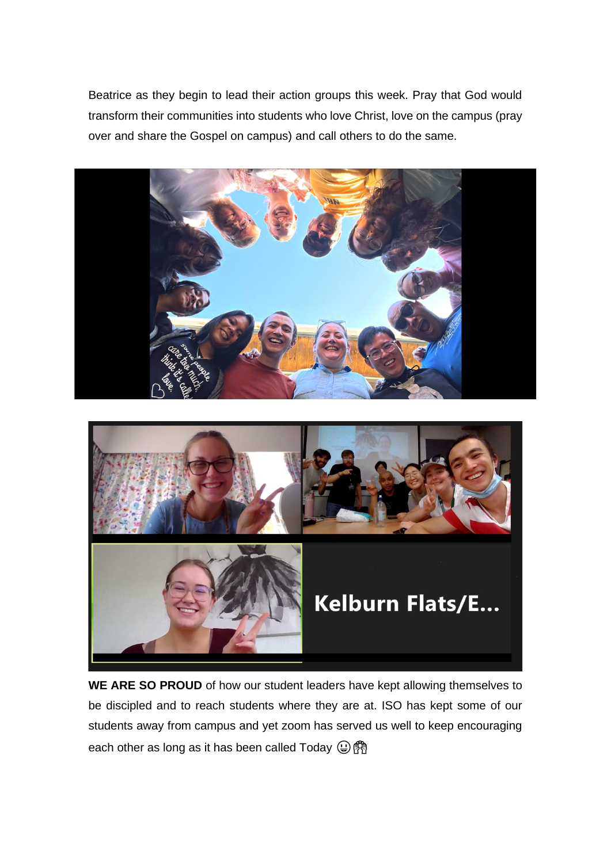Beatrice as they begin to lead their action groups this week. Pray that God would transform their communities into students who love Christ, love on the campus (pray over and share the Gospel on campus) and call others to do the same.



**WE ARE SO PROUD** of how our student leaders have kept allowing themselves to be discipled and to reach students where they are at. ISO has kept some of our students away from campus and yet zoom has served us well to keep encouraging each other as long as it has been called Today  $\textcircled{r}$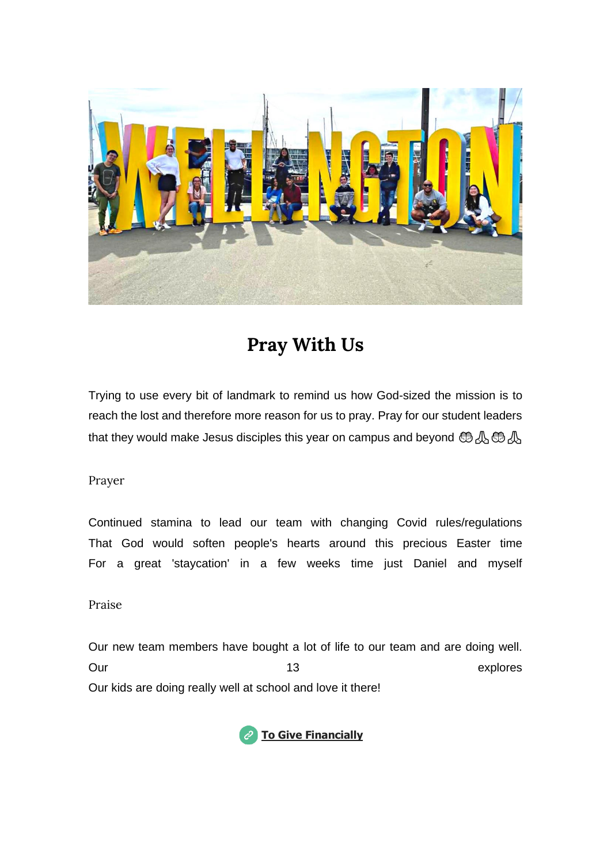

# **Pray With Us**

Trying to use every bit of landmark to remind us how God-sized the mission is to reach the lost and therefore more reason for us to pray. Pray for our student leaders that they would make Jesus disciples this year on campus and beyond  $\mathcal{A}\oplus\mathcal{A}$ 

Prayer

Continued stamina to lead our team with changing Covid rules/regulations That God would soften people's hearts around this precious Easter time For a great 'staycation' in a few weeks time just Daniel and myself

Praise

Our new team members have bought a lot of life to our team and are doing well. Our contracts and the contracts of the 13 explores explores Our kids are doing really well at school and love it there!